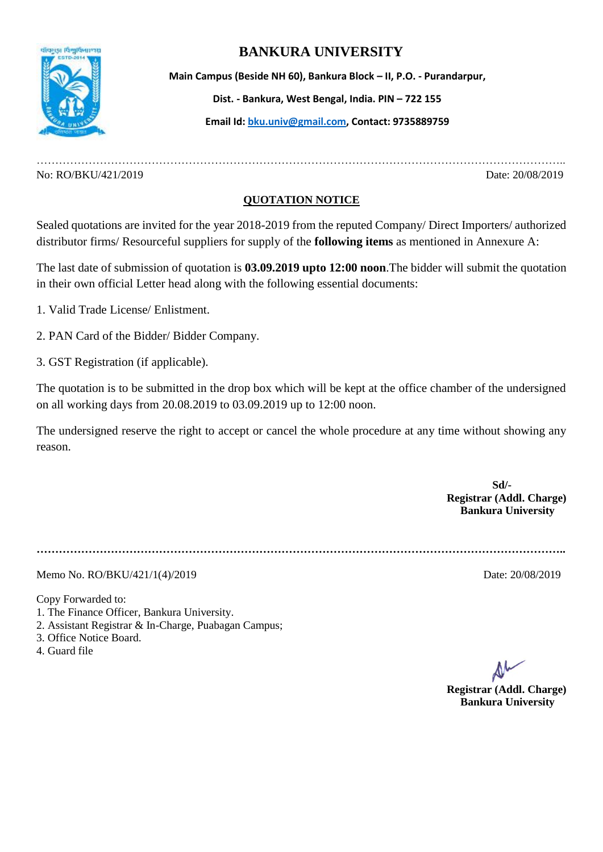

## **BANKURA UNIVERSITY**

 **Main Campus (Beside NH 60), Bankura Block – II, P.O. - Purandarpur, Dist. - Bankura, West Bengal, India. PIN – 722 155 Email Id[: bku.univ@gmail.com,](mailto:bku.univ@gmail.com) Contact: 9735889759**

No: RO/BKU/421/2019 Date: 20/08/2019

## **QUOTATION NOTICE**

……………………………………………………………………………………………………………………………..

Sealed quotations are invited for the year 2018-2019 from the reputed Company/ Direct Importers/ authorized distributor firms/ Resourceful suppliers for supply of the **following items** as mentioned in Annexure A:

The last date of submission of quotation is **03.09.2019 upto 12:00 noon**.The bidder will submit the quotation in their own official Letter head along with the following essential documents:

1. Valid Trade License/ Enlistment.

2. PAN Card of the Bidder/ Bidder Company.

3. GST Registration (if applicable).

The quotation is to be submitted in the drop box which will be kept at the office chamber of the undersigned on all working days from 20.08.2019 to 03.09.2019 up to 12:00 noon.

The undersigned reserve the right to accept or cancel the whole procedure at any time without showing any reason.

> **Sd/- Registrar (Addl. Charge) Bankura University**

**……………………………………………………………………………………………………………………………..**

Memo No. RO/BKU/421/1(4)/2019 Date: 20/08/2019

Copy Forwarded to:

- 1. The Finance Officer, Bankura University.
- 2. Assistant Registrar & In-Charge, Puabagan Campus;
- 3. Office Notice Board.
- 4. Guard file

**Registrar (Addl. Charge) Bankura University**